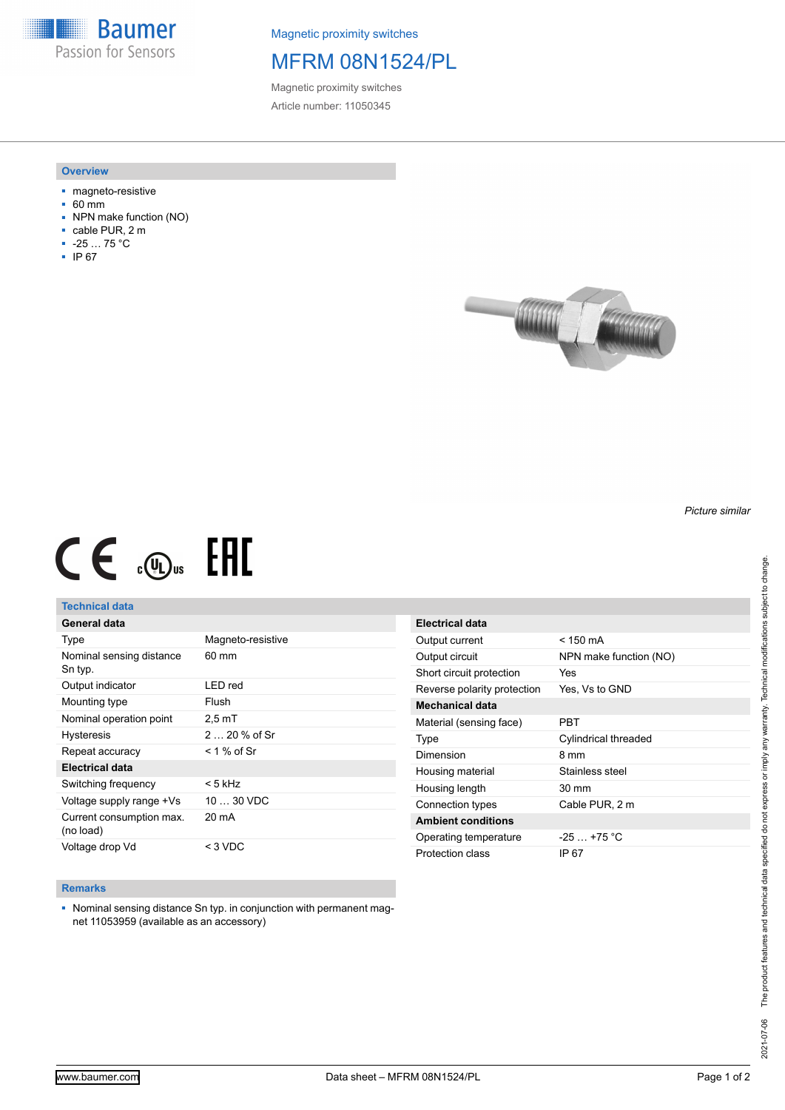**Baumer** Passion for Sensors

Magnetic proximity switches

# MFRM 08N1524/PL

Magnetic proximity switches Article number: 11050345

### **Overview**

- magneto-resistive
- $-60$  mm
- NPN make function (NO)
- cable PUR, 2 m
- -25 … 75 °C
- IP 67



# $CE \mathcal{L}$  (Dus FRE

## **Technical data**

| General data                          |                   |
|---------------------------------------|-------------------|
| Type                                  | Magneto-resistive |
| Nominal sensing distance<br>Sn typ.   | $60 \text{ mm}$   |
| Output indicator                      | LED red           |
| Mounting type                         | Flush             |
| Nominal operation point               | $2.5 \text{ mT}$  |
| <b>Hysteresis</b>                     | $220%$ of Sr      |
| Repeat accuracy                       | < 1 % of Sr       |
| Electrical data                       |                   |
| Switching frequency                   | < 5 kHz           |
| Voltage supply range +Vs              | $1030$ VDC        |
| Current consumption max.<br>(no load) | 20 mA             |
| Voltage drop Vd                       | $<$ 3 VDC         |

| Electrical data             |                        |
|-----------------------------|------------------------|
| Output current              | < 150 mA               |
| Output circuit              | NPN make function (NO) |
| Short circuit protection    | Yes                    |
| Reverse polarity protection | Yes, Vs to GND         |
| Mechanical data             |                        |
| Material (sensing face)     | PRT                    |
| Type                        | Cylindrical threaded   |
| Dimension                   | 8 mm                   |
|                             |                        |
| Housing material            | Stainless steel        |
| Housing length              | 30 mm                  |
| Connection types            | Cable PUR, 2 m         |
| <b>Ambient conditions</b>   |                        |
| Operating temperature       | $-25$ $+75$ °C         |

#### **Remarks**

■ Nominal sensing distance Sn typ. in conjunction with permanent magnet 11053959 (available as an accessory)

*Picture similar*